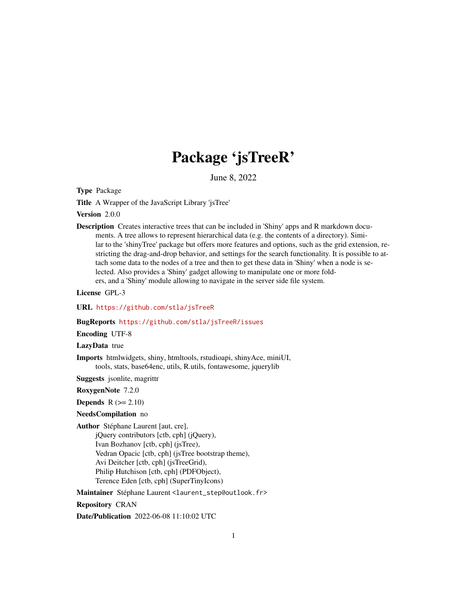# Package 'jsTreeR'

June 8, 2022

<span id="page-0-0"></span>Type Package

Title A Wrapper of the JavaScript Library 'jsTree'

Version 2.0.0

Description Creates interactive trees that can be included in 'Shiny' apps and R markdown documents. A tree allows to represent hierarchical data (e.g. the contents of a directory). Similar to the 'shinyTree' package but offers more features and options, such as the grid extension, restricting the drag-and-drop behavior, and settings for the search functionality. It is possible to attach some data to the nodes of a tree and then to get these data in 'Shiny' when a node is selected. Also provides a 'Shiny' gadget allowing to manipulate one or more folders, and a 'Shiny' module allowing to navigate in the server side file system.

License GPL-3

URL <https://github.com/stla/jsTreeR>

#### BugReports <https://github.com/stla/jsTreeR/issues>

Encoding UTF-8

LazyData true

Imports htmlwidgets, shiny, htmltools, rstudioapi, shinyAce, miniUI, tools, stats, base64enc, utils, R.utils, fontawesome, jquerylib

Suggests jsonlite, magrittr

RoxygenNote 7.2.0

**Depends**  $R$  ( $>= 2.10$ )

NeedsCompilation no

Author Stéphane Laurent [aut, cre],

jQuery contributors [ctb, cph] (jQuery), Ivan Bozhanov [ctb, cph] (jsTree), Vedran Opacic [ctb, cph] (jsTree bootstrap theme), Avi Deitcher [ctb, cph] (jsTreeGrid), Philip Hutchison [ctb, cph] (PDFObject), Terence Eden [ctb, cph] (SuperTinyIcons)

Maintainer Stéphane Laurent <laurent\_step@outlook.fr>

Repository CRAN

Date/Publication 2022-06-08 11:10:02 UTC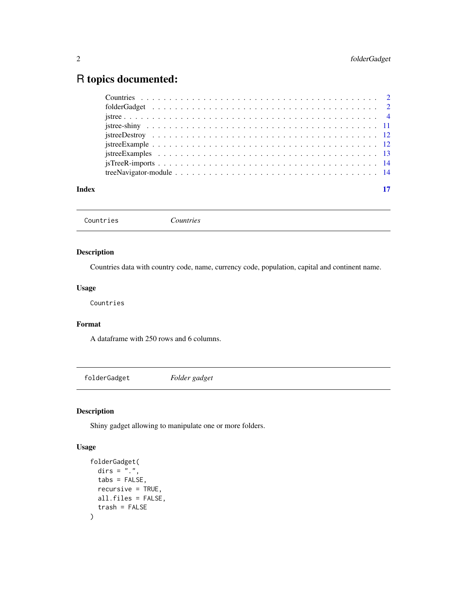# <span id="page-1-0"></span>R topics documented:

| Index | 17 |
|-------|----|
|       |    |
|       |    |
|       |    |
|       |    |
|       |    |
|       |    |
|       |    |
|       |    |
|       |    |

Countries *Countries*

# Description

Countries data with country code, name, currency code, population, capital and continent name.

#### Usage

Countries

# Format

A dataframe with 250 rows and 6 columns.

folderGadget *Folder gadget*

# Description

Shiny gadget allowing to manipulate one or more folders.

#### Usage

```
folderGadget(
  dirs = \overline{''}.",
  tabs = FALSE,recursive = TRUE,
  all.files = FALSE,
  trash = FALSE
\mathcal{E}
```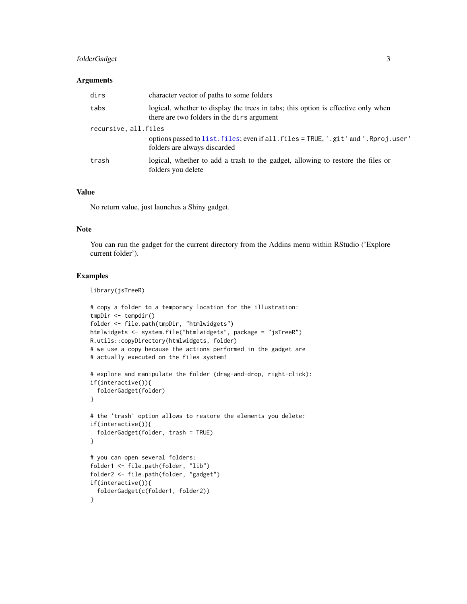# <span id="page-2-0"></span>folderGadget 3

#### **Arguments**

| dirs                 | character vector of paths to some folders                                                                                       |
|----------------------|---------------------------------------------------------------------------------------------------------------------------------|
| tabs                 | logical, whether to display the trees in tabs; this option is effective only when<br>there are two folders in the dirs argument |
| recursive, all.files |                                                                                                                                 |
|                      | options passed to list. files; even if all. files = TRUE, '.git' and '.Rproj.user'<br>folders are always discarded              |
| trash                | logical, whether to add a trash to the gadget, allowing to restore the files or<br>folders you delete                           |

#### Value

No return value, just launches a Shiny gadget.

#### Note

You can run the gadget for the current directory from the Addins menu within RStudio ('Explore current folder').

#### Examples

library(jsTreeR)

```
# copy a folder to a temporary location for the illustration:
tmpDir <- tempdir()
folder <- file.path(tmpDir, "htmlwidgets")
htmlwidgets <- system.file("htmlwidgets", package = "jsTreeR")
R.utils::copyDirectory(htmlwidgets, folder)
# we use a copy because the actions performed in the gadget are
# actually executed on the files system!
# explore and manipulate the folder (drag-and-drop, right-click):
if(interactive()){
  folderGadget(folder)
}
# the 'trash' option allows to restore the elements you delete:
if(interactive()){
  folderGadget(folder, trash = TRUE)
}
# you can open several folders:
folder1 <- file.path(folder, "lib")
folder2 <- file.path(folder, "gadget")
if(interactive()){
  folderGadget(c(folder1, folder2))
}
```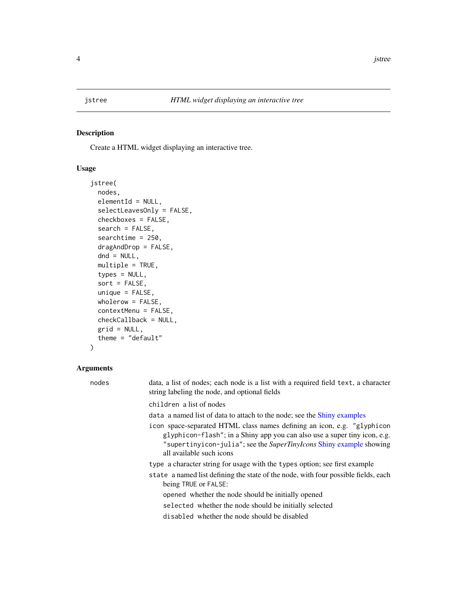<span id="page-3-1"></span><span id="page-3-0"></span>

#### Description

Create a HTML widget displaying an interactive tree.

# Usage

```
jstree(
 nodes,
  elementId = NULL,
  selectLeavesOnly = FALSE,
  checkboxes = FALSE,
  search = FALSE,
  searchtime = 250,
  dragAndDrop = FALSE,
  dnd = NULL,multiple = TRUE,
  types = NULL,
  sort = FALSE,unique = FALSE,
 wholerow = FALSE,
  contextMenu = FALSE,
  checkCallback = NULL,
 grid = NULL,
  theme = "default")
```
# Arguments

| nodes | data, a list of nodes; each node is a list with a required field text, a character<br>string labeling the node, and optional fields                                                                                                                     |
|-------|---------------------------------------------------------------------------------------------------------------------------------------------------------------------------------------------------------------------------------------------------------|
|       | children a list of nodes                                                                                                                                                                                                                                |
|       | data a named list of data to attach to the node; see the Shiny examples                                                                                                                                                                                 |
|       | icon space-separated HTML class names defining an icon, e.g. "glyphicon<br>glyphicon-flash"; in a Shiny app you can also use a super tiny icon, e.g.<br>"supertinyicon-julia"; see the SuperTinyIcons Shiny example showing<br>all available such icons |
|       | type a character string for usage with the types option; see first example                                                                                                                                                                              |
|       | state a named list defining the state of the node, with four possible fields, each<br>being TRUE or FALSE:                                                                                                                                              |
|       | opened whether the node should be initially opened                                                                                                                                                                                                      |
|       | selected whether the node should be initially selected                                                                                                                                                                                                  |
|       | disabled whether the node should be disabled                                                                                                                                                                                                            |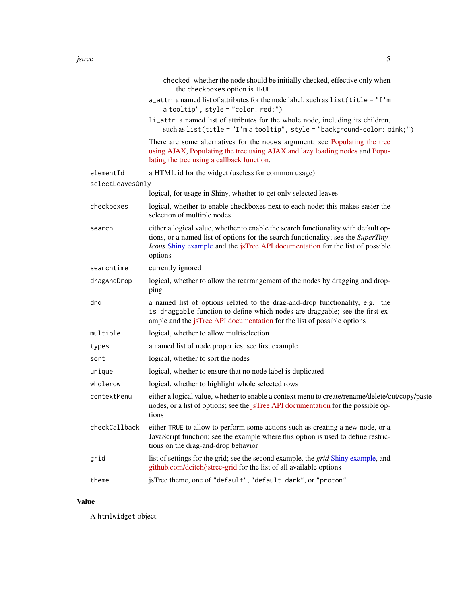<span id="page-4-0"></span>

|                  | the checkboxes option is TRUE                                                                                                                                                                                                                                         |
|------------------|-----------------------------------------------------------------------------------------------------------------------------------------------------------------------------------------------------------------------------------------------------------------------|
|                  | a_attr a named list of attributes for the node label, such as list(title = "I'm<br>$a$ tooltip", style = "color: red;")                                                                                                                                               |
|                  | li_attr a named list of attributes for the whole node, including its children,<br>such as list(title = "I'm a tooltip", style = "background-color: pink;")                                                                                                            |
|                  | There are some alternatives for the nodes argument; see Populating the tree<br>using AJAX, Populating the tree using AJAX and lazy loading nodes and Popu-<br>lating the tree using a callback function.                                                              |
| elementId        | a HTML id for the widget (useless for common usage)                                                                                                                                                                                                                   |
| selectLeavesOnly |                                                                                                                                                                                                                                                                       |
|                  | logical, for usage in Shiny, whether to get only selected leaves                                                                                                                                                                                                      |
| checkboxes       | logical, whether to enable checkboxes next to each node; this makes easier the<br>selection of multiple nodes                                                                                                                                                         |
| search           | either a logical value, whether to enable the search functionality with default op-<br>tions, or a named list of options for the search functionality; see the SuperTiny-<br>Icons Shiny example and the jsTree API documentation for the list of possible<br>options |
| searchtime       | currently ignored                                                                                                                                                                                                                                                     |
| dragAndDrop      | logical, whether to allow the rearrangement of the nodes by dragging and drop-<br>ping                                                                                                                                                                                |
| dnd              | a named list of options related to the drag-and-drop functionality, e.g. the<br>is_draggable function to define which nodes are draggable; see the first ex-<br>ample and the jsTree API documentation for the list of possible options                               |
| multiple         | logical, whether to allow multiselection                                                                                                                                                                                                                              |
| types            | a named list of node properties; see first example                                                                                                                                                                                                                    |
| sort             | logical, whether to sort the nodes                                                                                                                                                                                                                                    |
| unique           | logical, whether to ensure that no node label is duplicated                                                                                                                                                                                                           |
| wholerow         | logical, whether to highlight whole selected rows                                                                                                                                                                                                                     |
| contextMenu      | either a logical value, whether to enable a context menu to create/rename/delete/cut/copy/paste<br>nodes, or a list of options; see the jsTree API documentation for the possible op-<br>tions                                                                        |
| checkCallback    | either TRUE to allow to perform some actions such as creating a new node, or a<br>JavaScript function; see the example where this option is used to define restric-<br>tions on the drag-and-drop behavior                                                            |
| grid             | list of settings for the grid; see the second example, the <i>grid</i> Shiny example, and<br>github.com/deitch/jstree-grid for the list of all available options                                                                                                      |
| theme            | jsTree theme, one of "default", "default-dark", or "proton"                                                                                                                                                                                                           |

# Value

A htmlwidget object.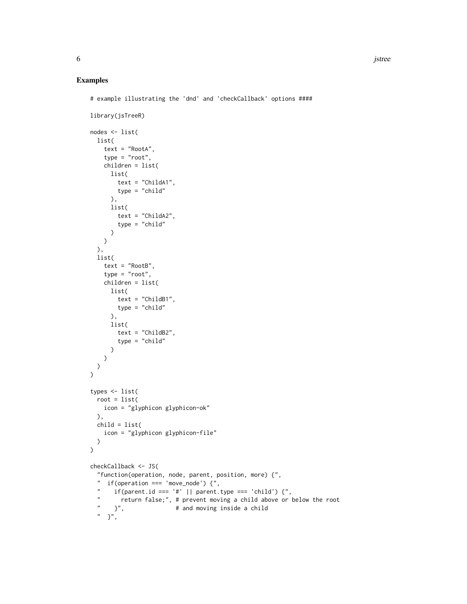#### Examples

```
# example illustrating the 'dnd' and 'checkCallback' options ####
library(jsTreeR)
nodes <- list(
  list(
    text = "RootA",
    type = "root",
    children = list(
      list(
        text = "ChildA1",
        type = "child"
      ),
      list(
        text = "ChildA2",
        type = "child"
      \lambda\lambda),
  list(
    text = "RootB",
    type = "root",
    children = list(
     list(
        text = "ChildB1",
       type = "child"
      ),
      list(
        text = "ChildB2",
        type = "child"
      )
    )
 )
\mathcal{L}types <- list(
  root = list(icon = "glyphicon glyphicon-ok"
  ),
  child = list(
    icon = "glyphicon glyphicon-file"
  \mathcal{L}\mathcal{L}checkCallback <- JS(
  "function(operation, node, parent, position, more) {",
  " if(operation === 'move_node') {",<br>" if(peratiid === '#', !, percent
  " if(parent.id === '#' || parent.type === 'child') {",
  " return false;", # prevent moving a child above or below the root
      }", \qquad \qquad # and moving inside a child
  " }",
```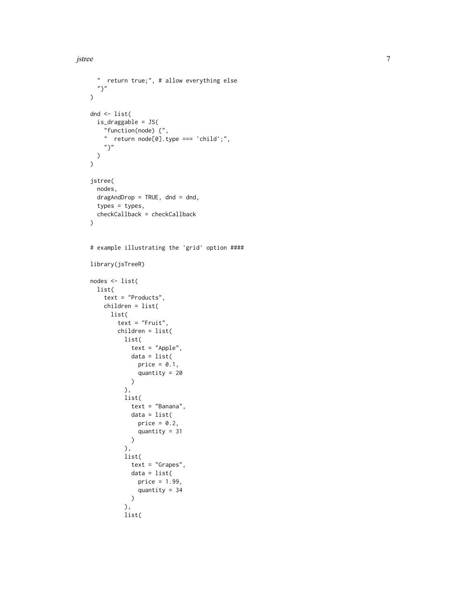```
" return true;", # allow everything else
  "}"
)
dnd <- list(
 is_draggable = JS(
    "function(node) {",
    " return node[0].type === 'child';",
    "?"
 )
\mathcal{L}jstree(
  nodes,
  dragAndDrop = TRUE, dnd = dnd,
  types = types,
  checkCallback = checkCallback
)
# example illustrating the 'grid' option ####
library(jsTreeR)
nodes <- list(
  list(
    text = "Products",
    children = list(
     list(
        text = "Fruit",
        children = list(
         list(
            text = "Apple",
            data = list(
              price = 0.1,
              quantity = 20
            )
          ),
          list(
           text = "Banana",
            data = list(
              price = 0.2,
              quantity = 31
           )
          ),
          list(
           text = "Grapes",
           data = list(
             price = 1.99,
              quantity = 34
            )
          ),
          list(
```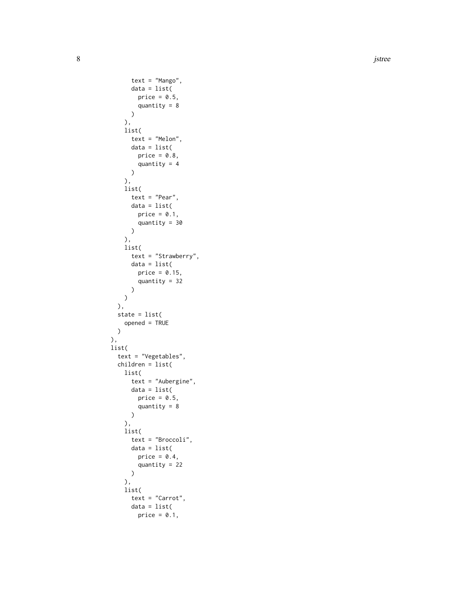8 is a set of the set of the set of the set of the set of the set of the set of the set of the set of the set of the set of the set of the set of the set of the set of the set of the set of the set of the set of the set of

```
text = "Mango",
     data = list(
       price = 0.5,
        quantity = 8\lambda),
   list(
     text = "Melon",
     data = list(price = 0.8,
       quantity = 4\lambda),
   list(
     text = "Pear",
     data = list(
      price = 0.1,
        quantity = 30
     )
   ),
   list(
     text = "Strawberry",
     data = list(
       price = 0.15,
        quantity = 32
     )
   )
 ),
 state = list(
   opened = TRUE
 )
),
list(
 text = "Vegetables",
 children = list(
   list(
      text = "Aubergine",
     data = list(
        price = 0.5,
        quantity = 8)
   ),
   list(
     text = "Broccoli",
     data = list(
      price = 0.4,
       quantity = 22
     \lambda),
   list(
     text = "Carrot",
     data = list(
        price = 0.1,
```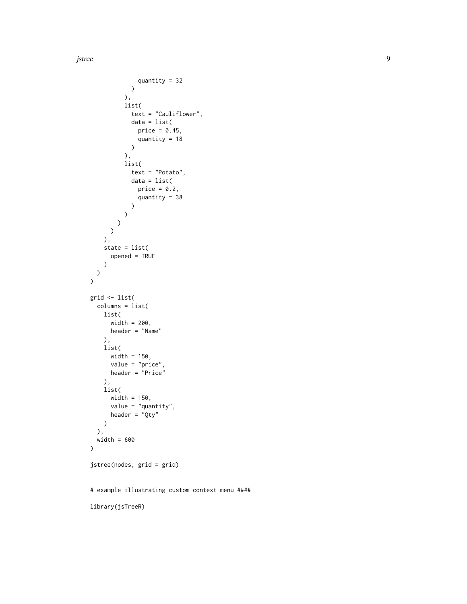jstree

```
quantity = 32
            \rightarrow),
          list(
            text = "Cauliflower",
            data = list(
              price = 0.45,
              quantity = 18
            \lambda),
          list(
            text = "Potato",
            data = list(
              price = 0.2,
              quantity = 38
            )
          )
       )
      )
    ),
    state = list(
      opened = TRUE
    \lambda)
\overline{)}grid <- list(
  columns = list(
    list(
      width = 200,
      header = "Name"
    ),
    list(
      width = 150,
      value = "price",
      header = "Price"
    ),
    list(
      width = 150,
      value = "quantity",
      header = "Qty"
   )
  ),
  width = 600
)
jstree(nodes, grid = grid)
# example illustrating custom context menu ####
library(jsTreeR)
```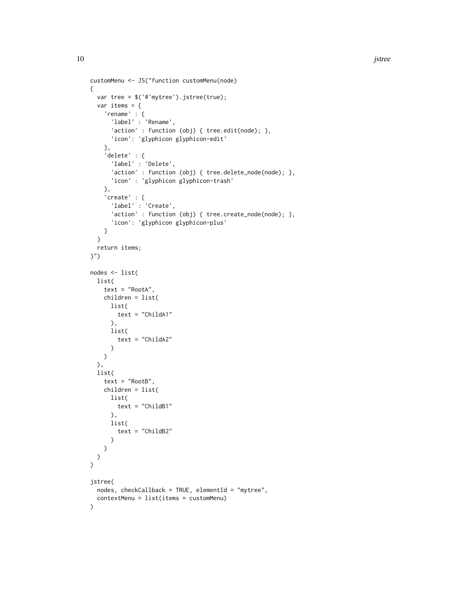```
customMenu <- JS("function customMenu(node)
{
 var tree = $('#'mytree').jstree(true);
 var items = \{'rename' : {
     'label' : 'Rename',
      'action' : function (obj) { tree.edit(node); },
     'icon': 'glyphicon glyphicon-edit'
   },
    'delete' : {
     'label' : 'Delete',
      'action' : function (obj) { tree.delete_node(node); },
      'icon' : 'glyphicon glyphicon-trash'
    },
    'create' : {
      'label' : 'Create',
      'action' : function (obj) { tree.create_node(node); },
      'icon': 'glyphicon glyphicon-plus'
   }
  }
  return items;
}")
nodes <- list(
 list(
   text = "RootA",
   children = list(
     list(
       text = "ChildA1"
     ),
     list(
       text = "ChildA2"
     )
   )
  ),
  list(
   text = "RootB",
   children = list(
     list(
       text = "ChildB1"
     ),
     list(
       text = "ChildB2"
      )
   )
 )
)
jstree(
  nodes, checkCallback = TRUE, elementId = "mytree",
  contextMenu = list(items = customMenu)
)
```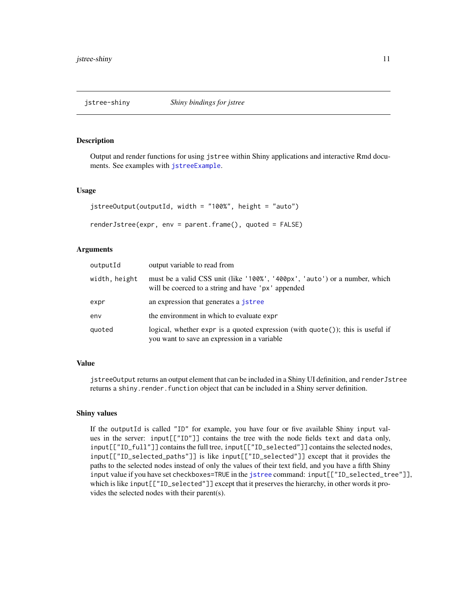<span id="page-10-0"></span>

#### <span id="page-10-1"></span>**Description**

Output and render functions for using jstree within Shiny applications and interactive Rmd documents. See examples with [jstreeExample](#page-11-1).

#### Usage

```
jstreeOutput(outputId, width = "100%", height = "auto")
renderJstree(expr, env = parent.frame(), quoted = FALSE)
```
#### Arguments

| outputId      | output variable to read from                                                                                                         |
|---------------|--------------------------------------------------------------------------------------------------------------------------------------|
| width, height | must be a valid CSS unit (like '100%', '400px', 'auto') or a number, which<br>will be coerced to a string and have 'px' appended     |
| expr          | an expression that generates a <i>jstree</i>                                                                                         |
| env           | the environment in which to evaluate expr                                                                                            |
| quoted        | logical, whether expr is a quoted expression (with $\eta$ uote()); this is useful if<br>you want to save an expression in a variable |

#### Value

jstreeOutput returns an output element that can be included in a Shiny UI definition, and renderJstree returns a shiny.render.function object that can be included in a Shiny server definition.

#### Shiny values

If the outputId is called "ID" for example, you have four or five available Shiny input values in the server: input[["ID"]] contains the tree with the node fields text and data only, input[["ID\_full"]] contains the full tree, input[["ID\_selected"]] contains the selected nodes, input[["ID\_selected\_paths"]] is like input[["ID\_selected"]] except that it provides the paths to the selected nodes instead of only the values of their text field, and you have a fifth Shiny input value if you have set checkboxes=TRUE in the [jstree](#page-3-1) command: input[["ID\_selected\_tree"]], which is like input[["ID\_selected"]] except that it preserves the hierarchy, in other words it provides the selected nodes with their parent(s).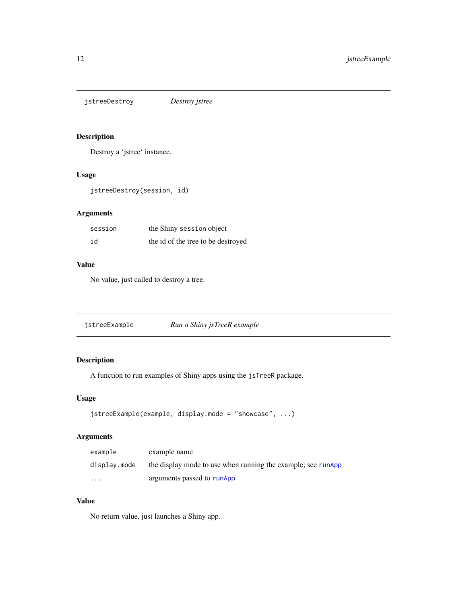<span id="page-11-0"></span>jstreeDestroy *Destroy jstree*

# Description

Destroy a 'jstree' instance.

#### Usage

jstreeDestroy(session, id)

#### Arguments

| session | the Shiny session object           |
|---------|------------------------------------|
| id      | the id of the tree to be destroyed |

#### Value

No value, just called to destroy a tree.

<span id="page-11-1"></span>

| jstreeExample | Run a Shiny jsTreeR example |
|---------------|-----------------------------|
|               |                             |

# Description

A function to run examples of Shiny apps using the jsTreeR package.

#### Usage

```
jstreeExample(example, display.mode = "showcase", ...)
```
# Arguments

| example      | example name                                                 |
|--------------|--------------------------------------------------------------|
| display.mode | the display mode to use when running the example; see runApp |
| $\cdots$     | arguments passed to runApp                                   |

#### Value

No return value, just launches a Shiny app.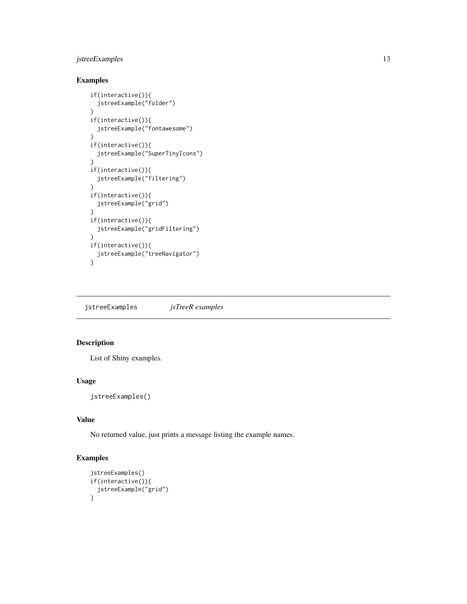#### <span id="page-12-0"></span>jstreeExamples 13

#### Examples

```
if(interactive()){
  jstreeExample("folder")
}
if(interactive()){
  jstreeExample("fontawesome")
}
if(interactive()){
  jstreeExample("SuperTinyIcons")
}
if(interactive()){
  jstreeExample("filtering")
}
if(interactive()){
  jstreeExample("grid")
}
if(interactive()){
  jstreeExample("gridFiltering")
}
if(interactive()){
  jstreeExample("treeNavigator")
}
```
jstreeExamples *jsTreeR examples*

# Description

List of Shiny examples.

#### Usage

jstreeExamples()

# Value

No returned value, just prints a message listing the example names.

#### Examples

```
jstreeExamples()
if(interactive()){
  jstreeExample("grid")
}
```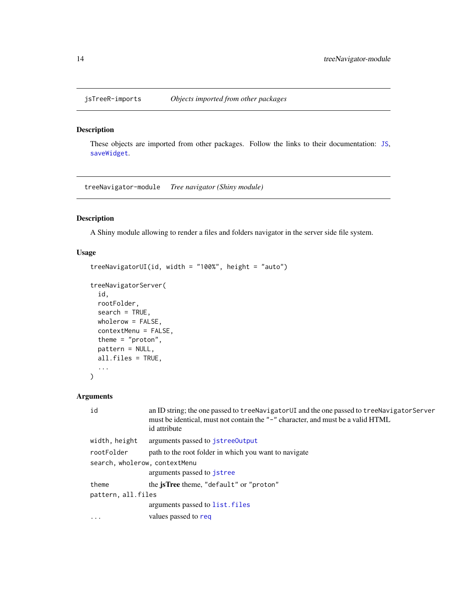<span id="page-13-0"></span>

#### <span id="page-13-1"></span>Description

These objects are imported from other packages. Follow the links to their documentation: [JS](#page-13-1), [saveWidget](#page-13-1).

treeNavigator-module *Tree navigator (Shiny module)*

# Description

A Shiny module allowing to render a files and folders navigator in the server side file system.

#### Usage

```
treeNavigatorUI(id, width = "100%", height = "auto")
treeNavigatorServer(
 id,
 rootFolder,
 search = TRUE,
 wholerow = FALSE,
 contextMenu = FALSE,
  theme = "proton",
 pattern = NULL,
 all.files = TRUE,
  ...
)
```
#### Arguments

| id                            | an ID string; the one passed to treeNavigatorUI and the one passed to treeNavigatorServer<br>must be identical, must not contain the "-" character, and must be a valid HTML<br>id attribute |  |
|-------------------------------|----------------------------------------------------------------------------------------------------------------------------------------------------------------------------------------------|--|
| width, height                 | arguments passed to jstree0utput                                                                                                                                                             |  |
| rootFolder                    | path to the root folder in which you want to navigate                                                                                                                                        |  |
| search, wholerow, contextMenu |                                                                                                                                                                                              |  |
|                               | arguments passed to jstree                                                                                                                                                                   |  |
| theme                         | the jsTree theme, "default" or "proton"                                                                                                                                                      |  |
| pattern, all.files            |                                                                                                                                                                                              |  |
|                               | arguments passed to list. files                                                                                                                                                              |  |
| $\ddots$ .                    | values passed to req                                                                                                                                                                         |  |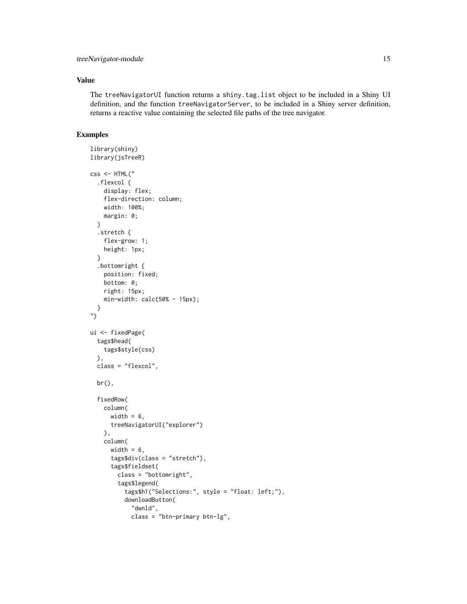#### Value

The treeNavigatorUI function returns a shiny.tag.list object to be included in a Shiny UI definition, and the function treeNavigatorServer, to be included in a Shiny server definition, returns a reactive value containing the selected file paths of the tree navigator.

# Examples

```
library(shiny)
library(jsTreeR)
css <- HTML("
  .flexcol {
   display: flex;
    flex-direction: column;
   width: 100%;
   margin: 0;
  }
  .stretch {
   flex-grow: 1;
   height: 1px;
  }
  .bottomright {
   position: fixed;
   bottom: 0;
   right: 15px;
   min-width: calc(50% - 15px);
  }
")
ui <- fixedPage(
  tags$head(
    tags$style(css)
  ),
  class = "flexcol",
  br(),
  fixedRow(
   column(
      width = 6,
      treeNavigatorUI("explorer")
   ),
   column(
      width = 6,
      tags$div(class = "stretch"),
      tags$fieldset(
        class = "bottomright",
        tags$legend(
          tags$h1("Selections:", style = "float: left;"),
          downloadButton(
            "dwnld",
            class = "btn-primary btn-lg",
```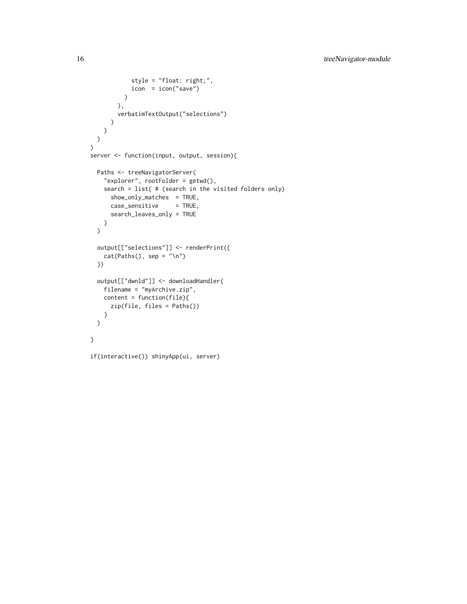```
style = "float: right;",
            icon = icon("save")
         )
       ),
       verbatimTextOutput("selections")
     )
   )
 )
\overline{)}server <- function(input, output, session){
 Paths <- treeNavigatorServer(
    "explorer", rootFolder = getwd(),
   search = list( # (search in the visited folders only)
      show_only_matches = TRUE,
     case_sensitive = TRUE,
     search_leaves_only = TRUE
   )
  \mathcal{L}output[["selections"]] <- renderPrint({
   cat(Paths(), sep = "\\n")})
  output[["dwnld"]] <- downloadHandler(
   filename = "myArchive.zip",
   content = function(file){
     zip(file, files = Paths())
   }
  )
}
if(interactive()) shinyApp(ui, server)
```